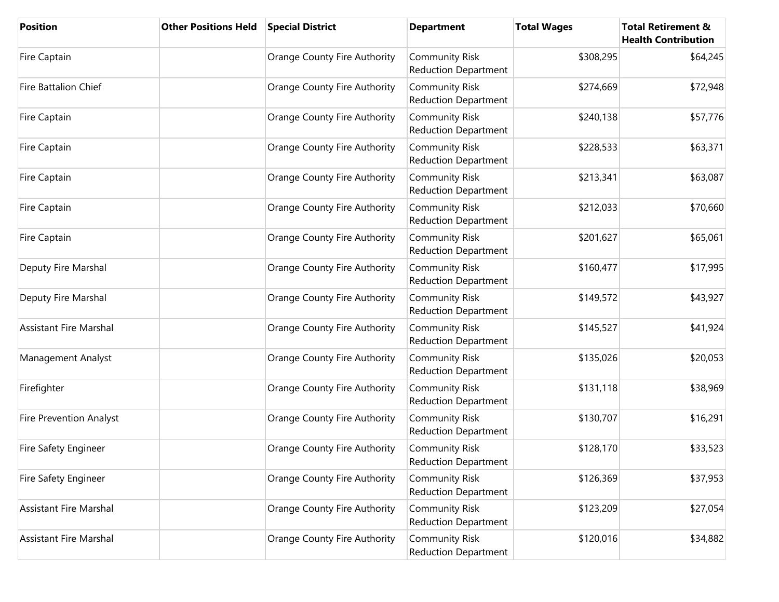| <b>Position</b>               | <b>Other Positions Held</b> | <b>Special District</b>      | <b>Department</b>                                    | <b>Total Wages</b> | <b>Total Retirement &amp;</b><br><b>Health Contribution</b> |
|-------------------------------|-----------------------------|------------------------------|------------------------------------------------------|--------------------|-------------------------------------------------------------|
| Fire Captain                  |                             | Orange County Fire Authority | <b>Community Risk</b><br><b>Reduction Department</b> | \$308,295          | \$64,245                                                    |
| <b>Fire Battalion Chief</b>   |                             | Orange County Fire Authority | <b>Community Risk</b><br><b>Reduction Department</b> | \$274,669          | \$72,948                                                    |
| Fire Captain                  |                             | Orange County Fire Authority | <b>Community Risk</b><br><b>Reduction Department</b> | \$240,138          | \$57,776                                                    |
| Fire Captain                  |                             | Orange County Fire Authority | <b>Community Risk</b><br><b>Reduction Department</b> | \$228,533          | \$63,371                                                    |
| Fire Captain                  |                             | Orange County Fire Authority | <b>Community Risk</b><br><b>Reduction Department</b> | \$213,341          | \$63,087                                                    |
| Fire Captain                  |                             | Orange County Fire Authority | Community Risk<br><b>Reduction Department</b>        | \$212,033          | \$70,660                                                    |
| Fire Captain                  |                             | Orange County Fire Authority | <b>Community Risk</b><br><b>Reduction Department</b> | \$201,627          | \$65,061                                                    |
| Deputy Fire Marshal           |                             | Orange County Fire Authority | <b>Community Risk</b><br><b>Reduction Department</b> | \$160,477          | \$17,995                                                    |
| Deputy Fire Marshal           |                             | Orange County Fire Authority | <b>Community Risk</b><br>Reduction Department        | \$149,572          | \$43,927                                                    |
| <b>Assistant Fire Marshal</b> |                             | Orange County Fire Authority | <b>Community Risk</b><br><b>Reduction Department</b> | \$145,527          | \$41,924                                                    |
| Management Analyst            |                             | Orange County Fire Authority | <b>Community Risk</b><br><b>Reduction Department</b> | \$135,026          | \$20,053                                                    |
| Firefighter                   |                             | Orange County Fire Authority | <b>Community Risk</b><br><b>Reduction Department</b> | \$131,118          | \$38,969                                                    |
| Fire Prevention Analyst       |                             | Orange County Fire Authority | <b>Community Risk</b><br><b>Reduction Department</b> | \$130,707          | \$16,291                                                    |
| Fire Safety Engineer          |                             | Orange County Fire Authority | <b>Community Risk</b><br><b>Reduction Department</b> | \$128,170          | \$33,523                                                    |
| Fire Safety Engineer          |                             | Orange County Fire Authority | <b>Community Risk</b><br><b>Reduction Department</b> | \$126,369          | \$37,953                                                    |
| <b>Assistant Fire Marshal</b> |                             | Orange County Fire Authority | <b>Community Risk</b><br><b>Reduction Department</b> | \$123,209          | \$27,054                                                    |
| <b>Assistant Fire Marshal</b> |                             | Orange County Fire Authority | <b>Community Risk</b><br><b>Reduction Department</b> | \$120,016          | \$34,882                                                    |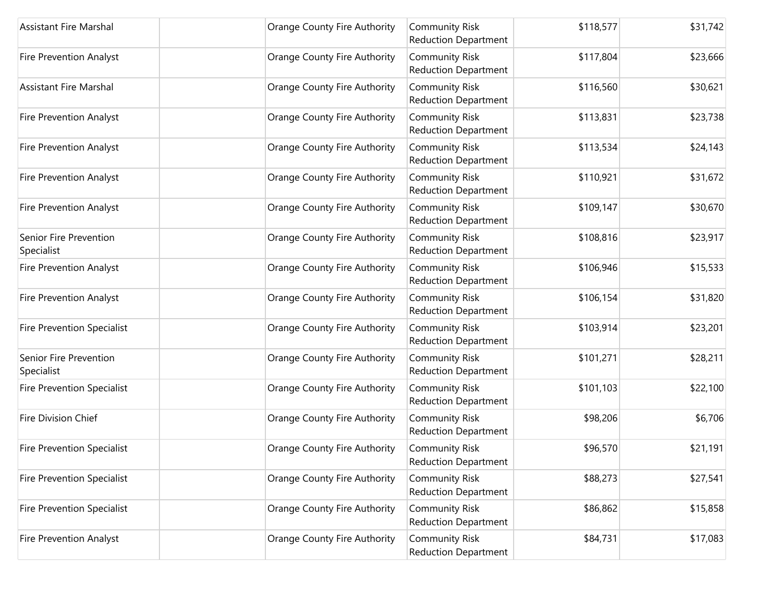| <b>Assistant Fire Marshal</b>        | Orange County Fire Authority | <b>Community Risk</b><br><b>Reduction Department</b> | \$118,577 | \$31,742 |
|--------------------------------------|------------------------------|------------------------------------------------------|-----------|----------|
| <b>Fire Prevention Analyst</b>       | Orange County Fire Authority | <b>Community Risk</b><br><b>Reduction Department</b> | \$117,804 | \$23,666 |
| <b>Assistant Fire Marshal</b>        | Orange County Fire Authority | <b>Community Risk</b><br>Reduction Department        | \$116,560 | \$30,621 |
| <b>Fire Prevention Analyst</b>       | Orange County Fire Authority | <b>Community Risk</b><br><b>Reduction Department</b> | \$113,831 | \$23,738 |
| <b>Fire Prevention Analyst</b>       | Orange County Fire Authority | <b>Community Risk</b><br><b>Reduction Department</b> | \$113,534 | \$24,143 |
| <b>Fire Prevention Analyst</b>       | Orange County Fire Authority | <b>Community Risk</b><br><b>Reduction Department</b> | \$110,921 | \$31,672 |
| <b>Fire Prevention Analyst</b>       | Orange County Fire Authority | <b>Community Risk</b><br><b>Reduction Department</b> | \$109,147 | \$30,670 |
| Senior Fire Prevention<br>Specialist | Orange County Fire Authority | <b>Community Risk</b><br>Reduction Department        | \$108,816 | \$23,917 |
| Fire Prevention Analyst              | Orange County Fire Authority | <b>Community Risk</b><br><b>Reduction Department</b> | \$106,946 | \$15,533 |
| Fire Prevention Analyst              | Orange County Fire Authority | <b>Community Risk</b><br><b>Reduction Department</b> | \$106,154 | \$31,820 |
| <b>Fire Prevention Specialist</b>    | Orange County Fire Authority | <b>Community Risk</b><br><b>Reduction Department</b> | \$103,914 | \$23,201 |
| Senior Fire Prevention<br>Specialist | Orange County Fire Authority | <b>Community Risk</b><br><b>Reduction Department</b> | \$101,271 | \$28,211 |
| <b>Fire Prevention Specialist</b>    | Orange County Fire Authority | <b>Community Risk</b><br><b>Reduction Department</b> | \$101,103 | \$22,100 |
| Fire Division Chief                  | Orange County Fire Authority | <b>Community Risk</b><br><b>Reduction Department</b> | \$98,206  | \$6,706  |
| <b>Fire Prevention Specialist</b>    | Orange County Fire Authority | <b>Community Risk</b><br><b>Reduction Department</b> | \$96,570  | \$21,191 |
| <b>Fire Prevention Specialist</b>    | Orange County Fire Authority | <b>Community Risk</b><br><b>Reduction Department</b> | \$88,273  | \$27,541 |
| <b>Fire Prevention Specialist</b>    | Orange County Fire Authority | <b>Community Risk</b><br><b>Reduction Department</b> | \$86,862  | \$15,858 |
| <b>Fire Prevention Analyst</b>       | Orange County Fire Authority | <b>Community Risk</b><br><b>Reduction Department</b> | \$84,731  | \$17,083 |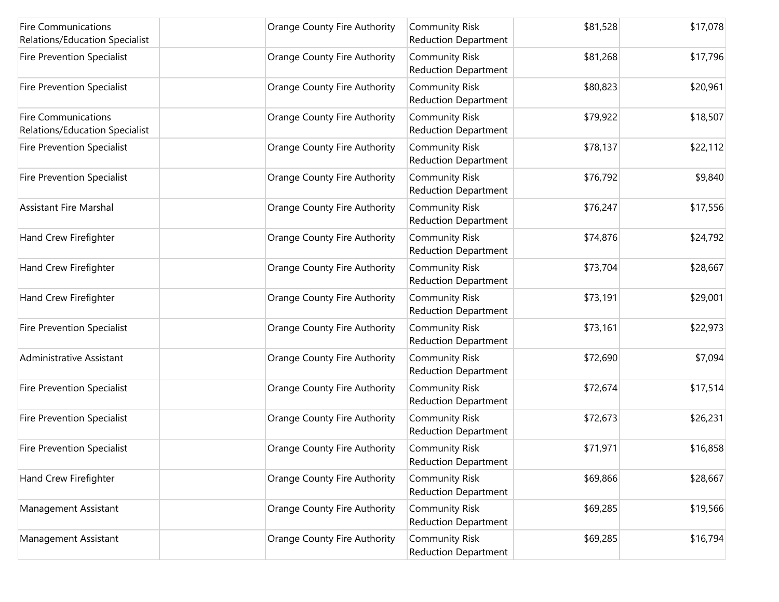| <b>Fire Communications</b><br>Relations/Education Specialist | Orange County Fire Authority | <b>Community Risk</b><br><b>Reduction Department</b> | \$81,528 | \$17,078 |
|--------------------------------------------------------------|------------------------------|------------------------------------------------------|----------|----------|
| Fire Prevention Specialist                                   | Orange County Fire Authority | <b>Community Risk</b><br><b>Reduction Department</b> | \$81,268 | \$17,796 |
| <b>Fire Prevention Specialist</b>                            | Orange County Fire Authority | <b>Community Risk</b><br><b>Reduction Department</b> | \$80,823 | \$20,961 |
| <b>Fire Communications</b><br>Relations/Education Specialist | Orange County Fire Authority | <b>Community Risk</b><br><b>Reduction Department</b> | \$79,922 | \$18,507 |
| <b>Fire Prevention Specialist</b>                            | Orange County Fire Authority | <b>Community Risk</b><br><b>Reduction Department</b> | \$78,137 | \$22,112 |
| <b>Fire Prevention Specialist</b>                            | Orange County Fire Authority | <b>Community Risk</b><br><b>Reduction Department</b> | \$76,792 | \$9,840  |
| <b>Assistant Fire Marshal</b>                                | Orange County Fire Authority | <b>Community Risk</b><br><b>Reduction Department</b> | \$76,247 | \$17,556 |
| Hand Crew Firefighter                                        | Orange County Fire Authority | <b>Community Risk</b><br><b>Reduction Department</b> | \$74,876 | \$24,792 |
| Hand Crew Firefighter                                        | Orange County Fire Authority | <b>Community Risk</b><br><b>Reduction Department</b> | \$73,704 | \$28,667 |
| Hand Crew Firefighter                                        | Orange County Fire Authority | <b>Community Risk</b><br><b>Reduction Department</b> | \$73,191 | \$29,001 |
| <b>Fire Prevention Specialist</b>                            | Orange County Fire Authority | <b>Community Risk</b><br><b>Reduction Department</b> | \$73,161 | \$22,973 |
| Administrative Assistant                                     | Orange County Fire Authority | <b>Community Risk</b><br><b>Reduction Department</b> | \$72,690 | \$7,094  |
| <b>Fire Prevention Specialist</b>                            | Orange County Fire Authority | <b>Community Risk</b><br><b>Reduction Department</b> | \$72,674 | \$17,514 |
| <b>Fire Prevention Specialist</b>                            | Orange County Fire Authority | <b>Community Risk</b><br><b>Reduction Department</b> | \$72,673 | \$26,231 |
| <b>Fire Prevention Specialist</b>                            | Orange County Fire Authority | <b>Community Risk</b><br><b>Reduction Department</b> | \$71,971 | \$16,858 |
| Hand Crew Firefighter                                        | Orange County Fire Authority | <b>Community Risk</b><br><b>Reduction Department</b> | \$69,866 | \$28,667 |
| Management Assistant                                         | Orange County Fire Authority | <b>Community Risk</b><br><b>Reduction Department</b> | \$69,285 | \$19,566 |
| Management Assistant                                         | Orange County Fire Authority | <b>Community Risk</b><br><b>Reduction Department</b> | \$69,285 | \$16,794 |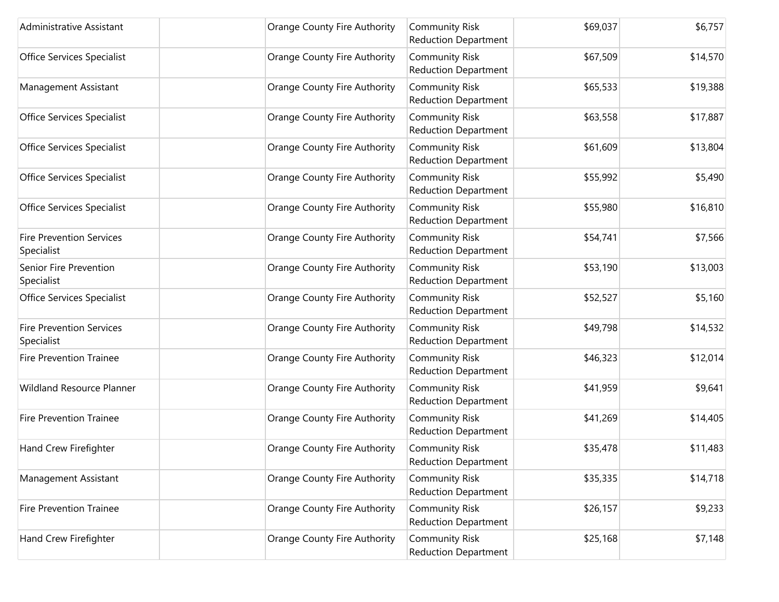| Administrative Assistant                      | <b>Orange County Fire Authority</b> | <b>Community Risk</b><br><b>Reduction Department</b> | \$69,037 | \$6,757  |
|-----------------------------------------------|-------------------------------------|------------------------------------------------------|----------|----------|
| Office Services Specialist                    | Orange County Fire Authority        | <b>Community Risk</b><br><b>Reduction Department</b> | \$67,509 | \$14,570 |
| Management Assistant                          | Orange County Fire Authority        | <b>Community Risk</b><br><b>Reduction Department</b> | \$65,533 | \$19,388 |
| Office Services Specialist                    | Orange County Fire Authority        | <b>Community Risk</b><br><b>Reduction Department</b> | \$63,558 | \$17,887 |
| <b>Office Services Specialist</b>             | <b>Orange County Fire Authority</b> | <b>Community Risk</b><br><b>Reduction Department</b> | \$61,609 | \$13,804 |
| Office Services Specialist                    | Orange County Fire Authority        | <b>Community Risk</b><br><b>Reduction Department</b> | \$55,992 | \$5,490  |
| Office Services Specialist                    | Orange County Fire Authority        | <b>Community Risk</b><br><b>Reduction Department</b> | \$55,980 | \$16,810 |
| <b>Fire Prevention Services</b><br>Specialist | Orange County Fire Authority        | <b>Community Risk</b><br><b>Reduction Department</b> | \$54,741 | \$7,566  |
| Senior Fire Prevention<br>Specialist          | <b>Orange County Fire Authority</b> | <b>Community Risk</b><br><b>Reduction Department</b> | \$53,190 | \$13,003 |
| Office Services Specialist                    | Orange County Fire Authority        | <b>Community Risk</b><br><b>Reduction Department</b> | \$52,527 | \$5,160  |
| <b>Fire Prevention Services</b><br>Specialist | Orange County Fire Authority        | <b>Community Risk</b><br><b>Reduction Department</b> | \$49,798 | \$14,532 |
| <b>Fire Prevention Trainee</b>                | Orange County Fire Authority        | <b>Community Risk</b><br><b>Reduction Department</b> | \$46,323 | \$12,014 |
| Wildland Resource Planner                     | Orange County Fire Authority        | <b>Community Risk</b><br><b>Reduction Department</b> | \$41,959 | \$9,641  |
| <b>Fire Prevention Trainee</b>                | <b>Orange County Fire Authority</b> | <b>Community Risk</b><br><b>Reduction Department</b> | \$41,269 | \$14,405 |
| Hand Crew Firefighter                         | Orange County Fire Authority        | <b>Community Risk</b><br><b>Reduction Department</b> | \$35,478 | \$11,483 |
| Management Assistant                          | Orange County Fire Authority        | <b>Community Risk</b><br><b>Reduction Department</b> | \$35,335 | \$14,718 |
| <b>Fire Prevention Trainee</b>                | Orange County Fire Authority        | <b>Community Risk</b><br><b>Reduction Department</b> | \$26,157 | \$9,233  |
| Hand Crew Firefighter                         | <b>Orange County Fire Authority</b> | <b>Community Risk</b><br><b>Reduction Department</b> | \$25,168 | \$7,148  |